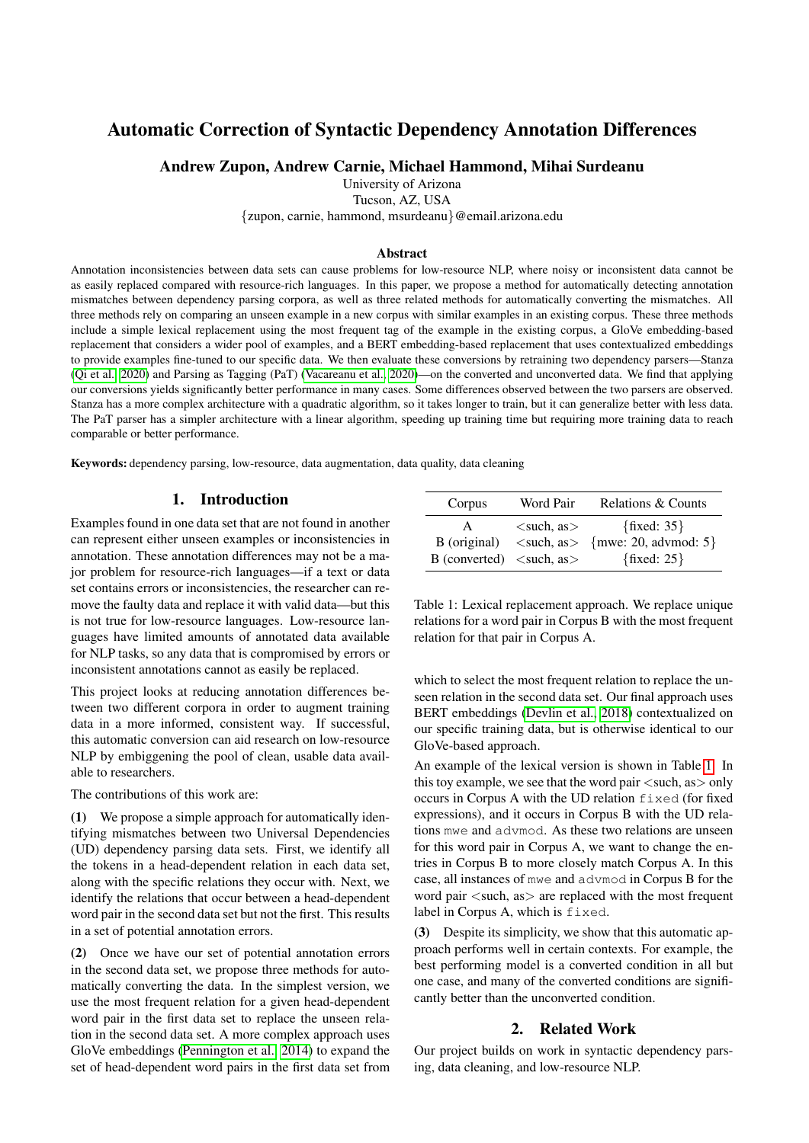# Automatic Correction of Syntactic Dependency Annotation Differences

# Andrew Zupon, Andrew Carnie, Michael Hammond, Mihai Surdeanu

University of Arizona

Tucson, AZ, USA

{zupon, carnie, hammond, msurdeanu}@email.arizona.edu

#### Abstract

Annotation inconsistencies between data sets can cause problems for low-resource NLP, where noisy or inconsistent data cannot be as easily replaced compared with resource-rich languages. In this paper, we propose a method for automatically detecting annotation mismatches between dependency parsing corpora, as well as three related methods for automatically converting the mismatches. All three methods rely on comparing an unseen example in a new corpus with similar examples in an existing corpus. These three methods include a simple lexical replacement using the most frequent tag of the example in the existing corpus, a GloVe embedding-based replacement that considers a wider pool of examples, and a BERT embedding-based replacement that uses contextualized embeddings to provide examples fine-tuned to our specific data. We then evaluate these conversions by retraining two dependency parsers—Stanza [\(Qi et al., 2020\)](#page-6-0) and Parsing as Tagging (PaT) [\(Vacareanu et al., 2020\)](#page-6-1)—on the converted and unconverted data. We find that applying our conversions yields significantly better performance in many cases. Some differences observed between the two parsers are observed. Stanza has a more complex architecture with a quadratic algorithm, so it takes longer to train, but it can generalize better with less data. The PaT parser has a simpler architecture with a linear algorithm, speeding up training time but requiring more training data to reach comparable or better performance.

Keywords: dependency parsing, low-resource, data augmentation, data quality, data cleaning

# 1. Introduction

Examples found in one data set that are not found in another can represent either unseen examples or inconsistencies in annotation. These annotation differences may not be a major problem for resource-rich languages—if a text or data set contains errors or inconsistencies, the researcher can remove the faulty data and replace it with valid data—but this is not true for low-resource languages. Low-resource languages have limited amounts of annotated data available for NLP tasks, so any data that is compromised by errors or inconsistent annotations cannot as easily be replaced.

This project looks at reducing annotation differences between two different corpora in order to augment training data in a more informed, consistent way. If successful, this automatic conversion can aid research on low-resource NLP by embiggening the pool of clean, usable data available to researchers.

The contributions of this work are:

(1) We propose a simple approach for automatically identifying mismatches between two Universal Dependencies (UD) dependency parsing data sets. First, we identify all the tokens in a head-dependent relation in each data set, along with the specific relations they occur with. Next, we identify the relations that occur between a head-dependent word pair in the second data set but not the first. This results in a set of potential annotation errors.

(2) Once we have our set of potential annotation errors in the second data set, we propose three methods for automatically converting the data. In the simplest version, we use the most frequent relation for a given head-dependent word pair in the first data set to replace the unseen relation in the second data set. A more complex approach uses GloVe embeddings [\(Pennington et al., 2014\)](#page-6-2) to expand the set of head-dependent word pairs in the first data set from

| Corpus                                                                     | Word Pair                    | Relations & Counts                                                              |
|----------------------------------------------------------------------------|------------------------------|---------------------------------------------------------------------------------|
| $\mathsf{A}$<br>B (original)<br>B (converted) $\langle$ such, as $\rangle$ | $\langle$ such, as $\rangle$ | $\{fixed: 35\}$<br>$\langle$ such, as > {mwe: 20, advmod: 5}<br>$\{fixed: 25\}$ |

<span id="page-0-0"></span>Table 1: Lexical replacement approach. We replace unique relations for a word pair in Corpus B with the most frequent relation for that pair in Corpus A.

which to select the most frequent relation to replace the unseen relation in the second data set. Our final approach uses BERT embeddings [\(Devlin et al., 2018\)](#page-6-3) contextualized on our specific training data, but is otherwise identical to our GloVe-based approach.

An example of the lexical version is shown in Table [1.](#page-0-0) In this toy example, we see that the word pair  $\langle$  such, as  $>$  only occurs in Corpus A with the UD relation fixed (for fixed expressions), and it occurs in Corpus B with the UD relations mwe and advmod. As these two relations are unseen for this word pair in Corpus A, we want to change the entries in Corpus B to more closely match Corpus A. In this case, all instances of mwe and advmod in Corpus B for the word pair  $\langle$  such, as  $>$  are replaced with the most frequent label in Corpus A, which is fixed.

(3) Despite its simplicity, we show that this automatic approach performs well in certain contexts. For example, the best performing model is a converted condition in all but one case, and many of the converted conditions are significantly better than the unconverted condition.

#### 2. Related Work

Our project builds on work in syntactic dependency parsing, data cleaning, and low-resource NLP.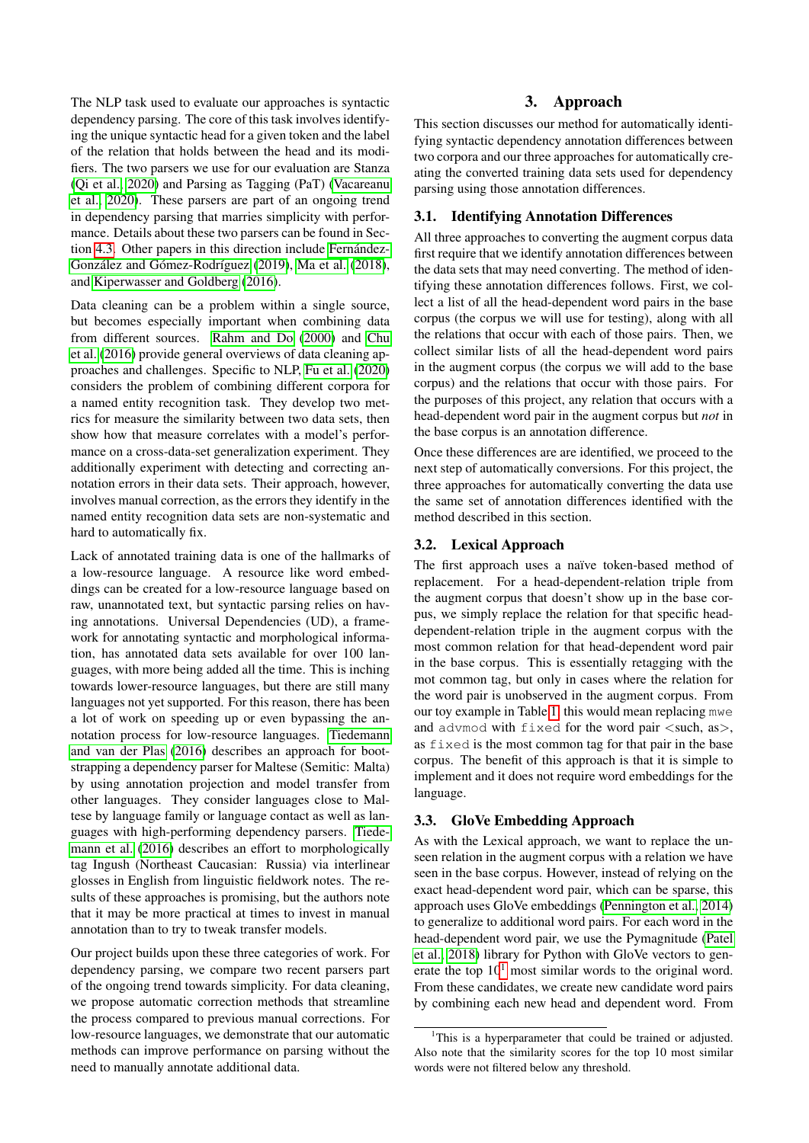The NLP task used to evaluate our approaches is syntactic dependency parsing. The core of this task involves identifying the unique syntactic head for a given token and the label of the relation that holds between the head and its modifiers. The two parsers we use for our evaluation are Stanza [\(Qi et al., 2020\)](#page-6-0) and Parsing as Tagging (PaT) [\(Vacareanu](#page-6-1) [et al., 2020\)](#page-6-1). These parsers are part of an ongoing trend in dependency parsing that marries simplicity with performance. Details about these two parsers can be found in Sec-tion [4.3.](#page-2-0) Other papers in this direction include Fernández-González and Gómez-Rodríguez [\(2019\)](#page-6-4), [Ma et al.](#page-6-5) [\(2018\)](#page-6-5), and [Kiperwasser and Goldberg](#page-6-6) [\(2016\)](#page-6-6).

Data cleaning can be a problem within a single source, but becomes especially important when combining data from different sources. [Rahm and Do](#page-6-7) [\(2000\)](#page-6-7) and [Chu](#page-6-8) [et al.](#page-6-8) [\(2016\)](#page-6-8) provide general overviews of data cleaning approaches and challenges. Specific to NLP, [Fu et al.](#page-6-9) [\(2020\)](#page-6-9) considers the problem of combining different corpora for a named entity recognition task. They develop two metrics for measure the similarity between two data sets, then show how that measure correlates with a model's performance on a cross-data-set generalization experiment. They additionally experiment with detecting and correcting annotation errors in their data sets. Their approach, however, involves manual correction, as the errors they identify in the named entity recognition data sets are non-systematic and hard to automatically fix.

Lack of annotated training data is one of the hallmarks of a low-resource language. A resource like word embeddings can be created for a low-resource language based on raw, unannotated text, but syntactic parsing relies on having annotations. Universal Dependencies (UD), a framework for annotating syntactic and morphological information, has annotated data sets available for over 100 languages, with more being added all the time. This is inching towards lower-resource languages, but there are still many languages not yet supported. For this reason, there has been a lot of work on speeding up or even bypassing the annotation process for low-resource languages. [Tiedemann](#page-6-10) [and van der Plas](#page-6-10) [\(2016\)](#page-6-10) describes an approach for bootstrapping a dependency parser for Maltese (Semitic: Malta) by using annotation projection and model transfer from other languages. They consider languages close to Maltese by language family or language contact as well as languages with high-performing dependency parsers. [Tiede](#page-6-11)[mann et al.](#page-6-11) [\(2016\)](#page-6-11) describes an effort to morphologically tag Ingush (Northeast Caucasian: Russia) via interlinear glosses in English from linguistic fieldwork notes. The results of these approaches is promising, but the authors note that it may be more practical at times to invest in manual annotation than to try to tweak transfer models.

Our project builds upon these three categories of work. For dependency parsing, we compare two recent parsers part of the ongoing trend towards simplicity. For data cleaning, we propose automatic correction methods that streamline the process compared to previous manual corrections. For low-resource languages, we demonstrate that our automatic methods can improve performance on parsing without the need to manually annotate additional data.

# 3. Approach

This section discusses our method for automatically identifying syntactic dependency annotation differences between two corpora and our three approaches for automatically creating the converted training data sets used for dependency parsing using those annotation differences.

# 3.1. Identifying Annotation Differences

All three approaches to converting the augment corpus data first require that we identify annotation differences between the data sets that may need converting. The method of identifying these annotation differences follows. First, we collect a list of all the head-dependent word pairs in the base corpus (the corpus we will use for testing), along with all the relations that occur with each of those pairs. Then, we collect similar lists of all the head-dependent word pairs in the augment corpus (the corpus we will add to the base corpus) and the relations that occur with those pairs. For the purposes of this project, any relation that occurs with a head-dependent word pair in the augment corpus but *not* in the base corpus is an annotation difference.

Once these differences are are identified, we proceed to the next step of automatically conversions. For this project, the three approaches for automatically converting the data use the same set of annotation differences identified with the method described in this section.

# 3.2. Lexical Approach

The first approach uses a naïve token-based method of replacement. For a head-dependent-relation triple from the augment corpus that doesn't show up in the base corpus, we simply replace the relation for that specific headdependent-relation triple in the augment corpus with the most common relation for that head-dependent word pair in the base corpus. This is essentially retagging with the mot common tag, but only in cases where the relation for the word pair is unobserved in the augment corpus. From our toy example in Table [1,](#page-0-0) this would mean replacing mwe and advmod with  $fixed$  for the word pair  $\langle \text{such, as} \rangle$ , as fixed is the most common tag for that pair in the base corpus. The benefit of this approach is that it is simple to implement and it does not require word embeddings for the language.

#### 3.3. GloVe Embedding Approach

As with the Lexical approach, we want to replace the unseen relation in the augment corpus with a relation we have seen in the base corpus. However, instead of relying on the exact head-dependent word pair, which can be sparse, this approach uses GloVe embeddings [\(Pennington et al., 2014\)](#page-6-2) to generalize to additional word pairs. For each word in the head-dependent word pair, we use the Pymagnitude [\(Patel](#page-6-12) [et al., 2018\)](#page-6-12) library for Python with GloVe vectors to generate the top  $10<sup>1</sup>$  $10<sup>1</sup>$  most similar words to the original word. From these candidates, we create new candidate word pairs by combining each new head and dependent word. From

<span id="page-1-0"></span><sup>&</sup>lt;sup>1</sup>This is a hyperparameter that could be trained or adjusted. Also note that the similarity scores for the top 10 most similar words were not filtered below any threshold.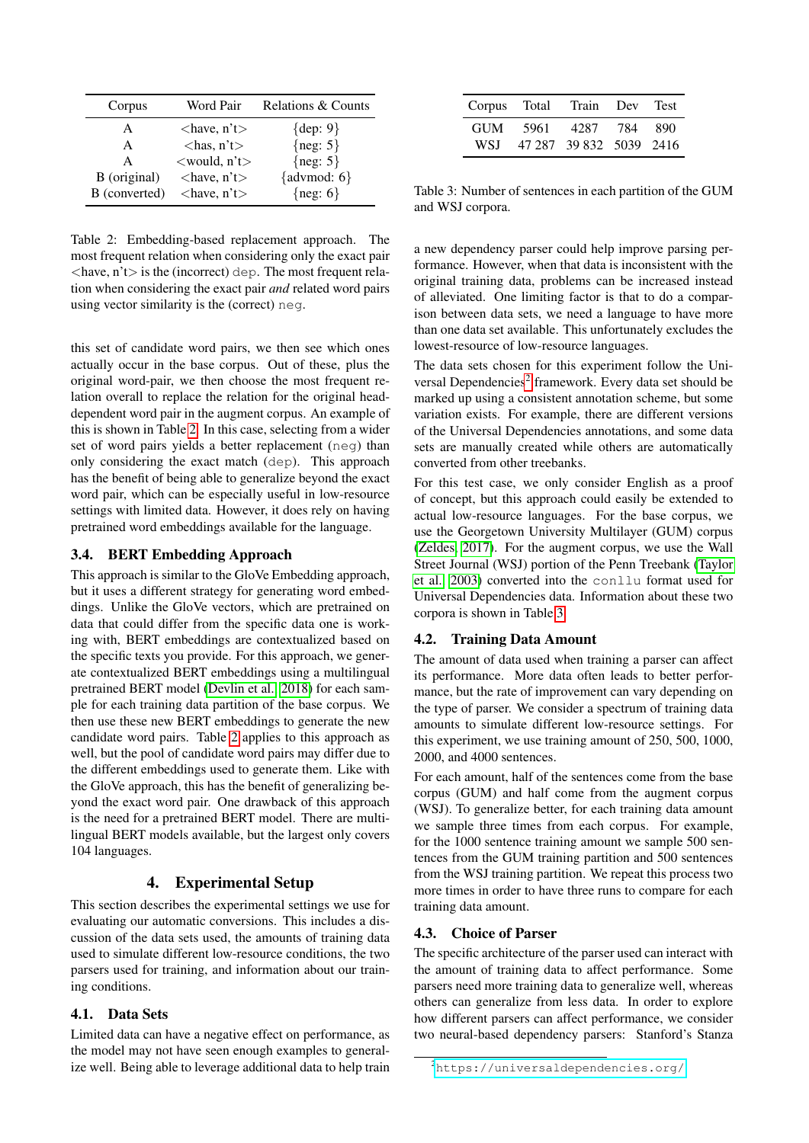| Corpus        | Word Pair                      | Relations & Counts |
|---------------|--------------------------------|--------------------|
| А             | $\langle$ have, n't $\rangle$  | $\{dep: 9\}$       |
| A             | $\langle$ has, n't $\rangle$   | { $neg: 5$ }       |
| A             | $\langle$ would, n't $\rangle$ | ${neg: 5}$         |
| B (original)  | $\langle$ have, n't $\rangle$  | {advmod: $6$ }     |
| B (converted) | $\langle$ have, n't $\rangle$  | $\{neg: 6\}$       |

<span id="page-2-1"></span>Table 2: Embedding-based replacement approach. The most frequent relation when considering only the exact pair  $\langle$ have, n't $>$  is the (incorrect) dep. The most frequent relation when considering the exact pair *and* related word pairs using vector similarity is the (correct) neg.

this set of candidate word pairs, we then see which ones actually occur in the base corpus. Out of these, plus the original word-pair, we then choose the most frequent relation overall to replace the relation for the original headdependent word pair in the augment corpus. An example of this is shown in Table [2.](#page-2-1) In this case, selecting from a wider set of word pairs yields a better replacement (neg) than only considering the exact match (dep). This approach has the benefit of being able to generalize beyond the exact word pair, which can be especially useful in low-resource settings with limited data. However, it does rely on having pretrained word embeddings available for the language.

# 3.4. BERT Embedding Approach

This approach is similar to the GloVe Embedding approach, but it uses a different strategy for generating word embeddings. Unlike the GloVe vectors, which are pretrained on data that could differ from the specific data one is working with, BERT embeddings are contextualized based on the specific texts you provide. For this approach, we generate contextualized BERT embeddings using a multilingual pretrained BERT model [\(Devlin et al., 2018\)](#page-6-3) for each sample for each training data partition of the base corpus. We then use these new BERT embeddings to generate the new candidate word pairs. Table [2](#page-2-1) applies to this approach as well, but the pool of candidate word pairs may differ due to the different embeddings used to generate them. Like with the GloVe approach, this has the benefit of generalizing beyond the exact word pair. One drawback of this approach is the need for a pretrained BERT model. There are multilingual BERT models available, but the largest only covers 104 languages.

# 4. Experimental Setup

This section describes the experimental settings we use for evaluating our automatic conversions. This includes a discussion of the data sets used, the amounts of training data used to simulate different low-resource conditions, the two parsers used for training, and information about our training conditions.

#### 4.1. Data Sets

Limited data can have a negative effect on performance, as the model may not have seen enough examples to generalize well. Being able to leverage additional data to help train

|     |          | Corpus Total Train Dev Test |      |
|-----|----------|-----------------------------|------|
|     | GUM 5961 | 4287 784                    | -890 |
| WSI |          | 47 287 39 832 5039 2416     |      |

<span id="page-2-3"></span>Table 3: Number of sentences in each partition of the GUM and WSJ corpora.

a new dependency parser could help improve parsing performance. However, when that data is inconsistent with the original training data, problems can be increased instead of alleviated. One limiting factor is that to do a comparison between data sets, we need a language to have more than one data set available. This unfortunately excludes the lowest-resource of low-resource languages.

The data sets chosen for this experiment follow the Uni-versal Dependencies<sup>[2](#page-2-2)</sup> framework. Every data set should be marked up using a consistent annotation scheme, but some variation exists. For example, there are different versions of the Universal Dependencies annotations, and some data sets are manually created while others are automatically converted from other treebanks.

For this test case, we only consider English as a proof of concept, but this approach could easily be extended to actual low-resource languages. For the base corpus, we use the Georgetown University Multilayer (GUM) corpus [\(Zeldes, 2017\)](#page-6-13). For the augment corpus, we use the Wall Street Journal (WSJ) portion of the Penn Treebank [\(Taylor](#page-6-14) [et al., 2003\)](#page-6-14) converted into the conllu format used for Universal Dependencies data. Information about these two corpora is shown in Table [3.](#page-2-3)

#### 4.2. Training Data Amount

The amount of data used when training a parser can affect its performance. More data often leads to better performance, but the rate of improvement can vary depending on the type of parser. We consider a spectrum of training data amounts to simulate different low-resource settings. For this experiment, we use training amount of 250, 500, 1000, 2000, and 4000 sentences.

For each amount, half of the sentences come from the base corpus (GUM) and half come from the augment corpus (WSJ). To generalize better, for each training data amount we sample three times from each corpus. For example, for the 1000 sentence training amount we sample 500 sentences from the GUM training partition and 500 sentences from the WSJ training partition. We repeat this process two more times in order to have three runs to compare for each training data amount.

#### <span id="page-2-0"></span>4.3. Choice of Parser

The specific architecture of the parser used can interact with the amount of training data to affect performance. Some parsers need more training data to generalize well, whereas others can generalize from less data. In order to explore how different parsers can affect performance, we consider two neural-based dependency parsers: Stanford's Stanza

<span id="page-2-2"></span><sup>2</sup><https://universaldependencies.org/>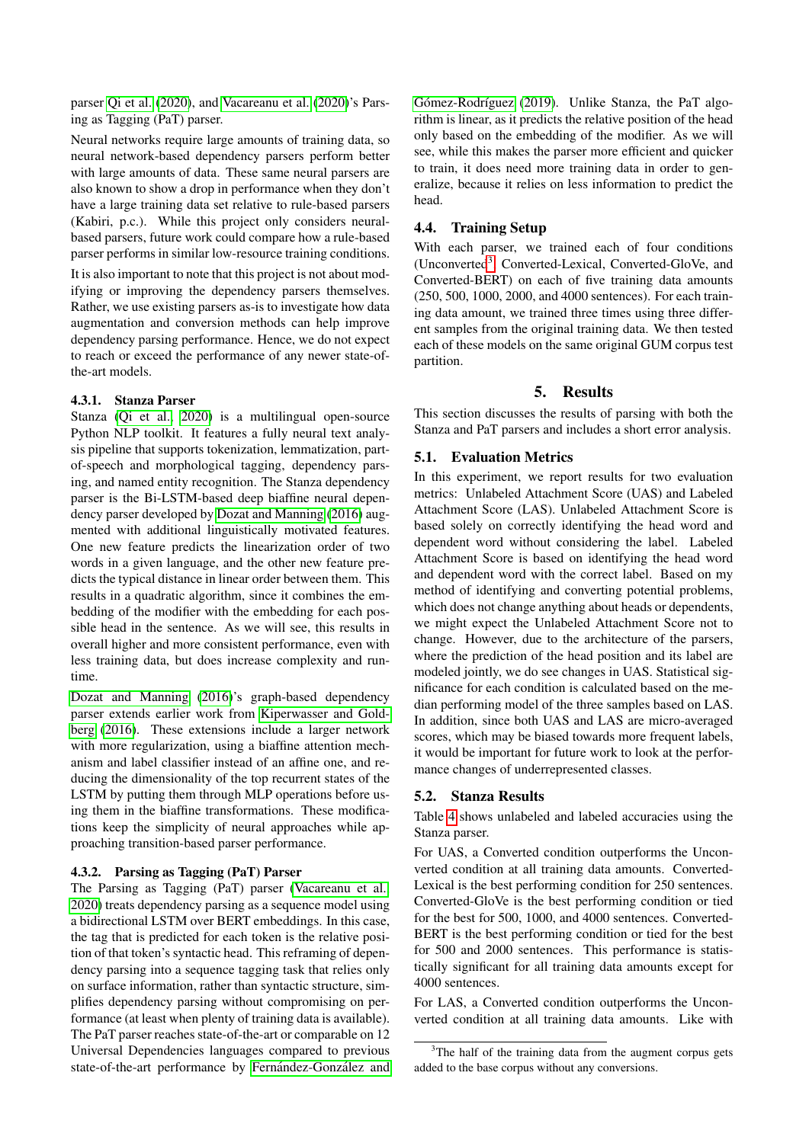parser [Qi et al.](#page-6-0) [\(2020\)](#page-6-0), and [Vacareanu et al.](#page-6-1) [\(2020\)](#page-6-1)'s Parsing as Tagging (PaT) parser.

Neural networks require large amounts of training data, so neural network-based dependency parsers perform better with large amounts of data. These same neural parsers are also known to show a drop in performance when they don't have a large training data set relative to rule-based parsers (Kabiri, p.c.). While this project only considers neuralbased parsers, future work could compare how a rule-based parser performs in similar low-resource training conditions.

It is also important to note that this project is not about modifying or improving the dependency parsers themselves. Rather, we use existing parsers as-is to investigate how data augmentation and conversion methods can help improve dependency parsing performance. Hence, we do not expect to reach or exceed the performance of any newer state-ofthe-art models.

#### 4.3.1. Stanza Parser

Stanza [\(Qi et al., 2020\)](#page-6-0) is a multilingual open-source Python NLP toolkit. It features a fully neural text analysis pipeline that supports tokenization, lemmatization, partof-speech and morphological tagging, dependency parsing, and named entity recognition. The Stanza dependency parser is the Bi-LSTM-based deep biaffine neural dependency parser developed by [Dozat and Manning](#page-6-15) [\(2016\)](#page-6-15) augmented with additional linguistically motivated features. One new feature predicts the linearization order of two words in a given language, and the other new feature predicts the typical distance in linear order between them. This results in a quadratic algorithm, since it combines the embedding of the modifier with the embedding for each possible head in the sentence. As we will see, this results in overall higher and more consistent performance, even with less training data, but does increase complexity and runtime.

[Dozat and Manning](#page-6-15) [\(2016\)](#page-6-15)'s graph-based dependency parser extends earlier work from [Kiperwasser and Gold](#page-6-6)[berg](#page-6-6) [\(2016\)](#page-6-6). These extensions include a larger network with more regularization, using a biaffine attention mechanism and label classifier instead of an affine one, and reducing the dimensionality of the top recurrent states of the LSTM by putting them through MLP operations before using them in the biaffine transformations. These modifications keep the simplicity of neural approaches while approaching transition-based parser performance.

#### 4.3.2. Parsing as Tagging (PaT) Parser

The Parsing as Tagging (PaT) parser [\(Vacareanu et al.,](#page-6-1) [2020\)](#page-6-1) treats dependency parsing as a sequence model using a bidirectional LSTM over BERT embeddings. In this case, the tag that is predicted for each token is the relative position of that token's syntactic head. This reframing of dependency parsing into a sequence tagging task that relies only on surface information, rather than syntactic structure, simplifies dependency parsing without compromising on performance (at least when plenty of training data is available). The PaT parser reaches state-of-the-art or comparable on 12 Universal Dependencies languages compared to previous state-of-the-art performance by Fernández-González and Gómez-Rodríguez [\(2019\)](#page-6-4). Unlike Stanza, the PaT algorithm is linear, as it predicts the relative position of the head only based on the embedding of the modifier. As we will see, while this makes the parser more efficient and quicker to train, it does need more training data in order to generalize, because it relies on less information to predict the head.

#### 4.4. Training Setup

With each parser, we trained each of four conditions (Unconverted<sup>[3](#page-3-0)</sup>, Converted-Lexical, Converted-GloVe, and Converted-BERT) on each of five training data amounts (250, 500, 1000, 2000, and 4000 sentences). For each training data amount, we trained three times using three different samples from the original training data. We then tested each of these models on the same original GUM corpus test partition.

### 5. Results

This section discusses the results of parsing with both the Stanza and PaT parsers and includes a short error analysis.

#### 5.1. Evaluation Metrics

In this experiment, we report results for two evaluation metrics: Unlabeled Attachment Score (UAS) and Labeled Attachment Score (LAS). Unlabeled Attachment Score is based solely on correctly identifying the head word and dependent word without considering the label. Labeled Attachment Score is based on identifying the head word and dependent word with the correct label. Based on my method of identifying and converting potential problems, which does not change anything about heads or dependents, we might expect the Unlabeled Attachment Score not to change. However, due to the architecture of the parsers, where the prediction of the head position and its label are modeled jointly, we do see changes in UAS. Statistical significance for each condition is calculated based on the median performing model of the three samples based on LAS. In addition, since both UAS and LAS are micro-averaged scores, which may be biased towards more frequent labels, it would be important for future work to look at the performance changes of underrepresented classes.

#### 5.2. Stanza Results

Table [4](#page-4-0) shows unlabeled and labeled accuracies using the Stanza parser.

For UAS, a Converted condition outperforms the Unconverted condition at all training data amounts. Converted-Lexical is the best performing condition for 250 sentences. Converted-GloVe is the best performing condition or tied for the best for 500, 1000, and 4000 sentences. Converted-BERT is the best performing condition or tied for the best for 500 and 2000 sentences. This performance is statistically significant for all training data amounts except for 4000 sentences.

For LAS, a Converted condition outperforms the Unconverted condition at all training data amounts. Like with

<span id="page-3-0"></span><sup>&</sup>lt;sup>3</sup>The half of the training data from the augment corpus gets added to the base corpus without any conversions.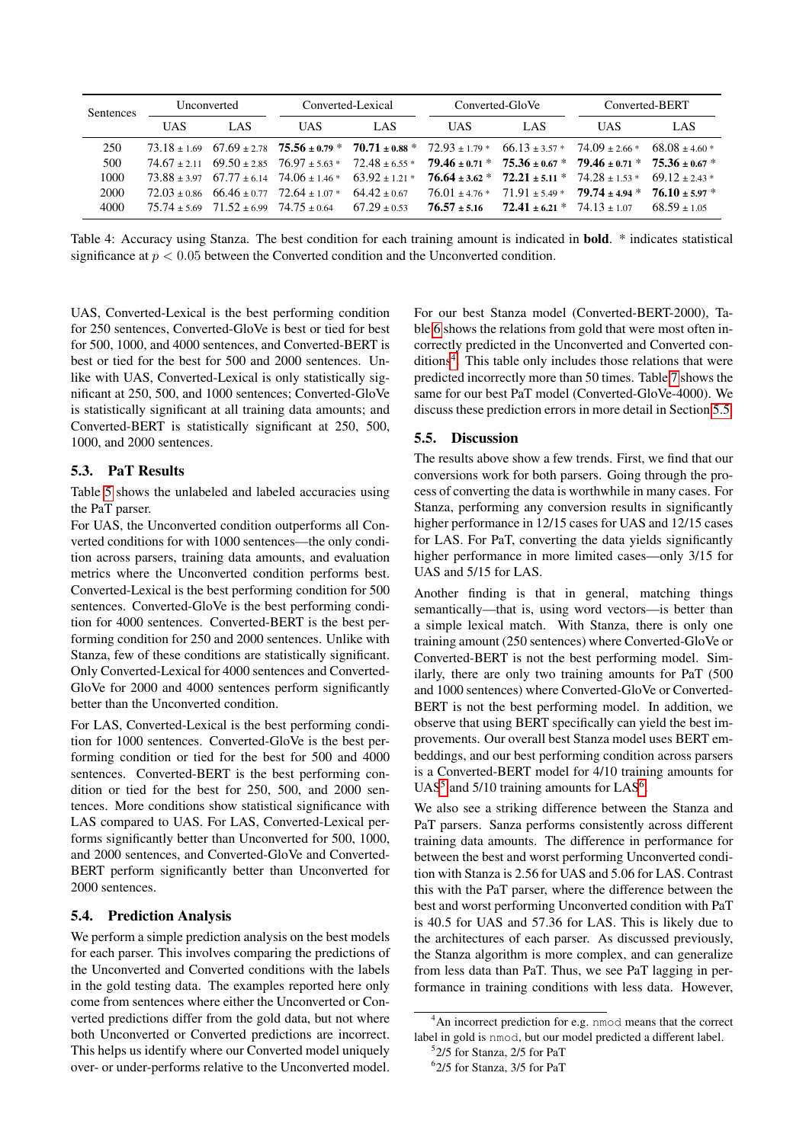| <b>Sentences</b> | Unconverted |      | Converted-Lexical                                                   |      | Converted-GloVe |                              | Converted-BERT                                                                                                                                      |                |
|------------------|-------------|------|---------------------------------------------------------------------|------|-----------------|------------------------------|-----------------------------------------------------------------------------------------------------------------------------------------------------|----------------|
|                  | UAS.        | LAS. | <b>UAS</b>                                                          | LAS. | UAS.            | LAS.                         | UAS.                                                                                                                                                | LAS.           |
| 250              |             |      |                                                                     |      |                 |                              | $73.18 \pm 1.69$ $67.69 \pm 2.78$ $75.56 \pm 0.79$ * $70.71 \pm 0.88$ * $72.93 \pm 1.79$ * $66.13 \pm 3.57$ * $74.09 \pm 2.66$ * $68.08 \pm 4.60$ * |                |
| 500              |             |      |                                                                     |      |                 |                              | $74.67 \pm 2.11$ $69.50 \pm 2.85$ $76.97 \pm 5.63$ $72.48 \pm 6.55$ $79.46 \pm 0.71$ $75.36 \pm 0.67$ $79.46 \pm 0.71$ $75.36 \pm 0.67$             |                |
| 1000             |             |      | $73.88 + 3.97$ $67.77 + 6.14$ $74.06 + 1.46*$ $63.92 + 1.21*$       |      |                 |                              | $76.64 \pm 3.62$ * $72.21 \pm 5.11$ * $74.28 \pm 1.53$ * $69.12 \pm 2.43$ *                                                                         |                |
| 2000             |             |      | $72.03 + 0.86$ 66.46 + 0.77 72.64 + 1.07 * 64.42 + 0.67             |      |                 |                              | $76.01 + 4.76*$ $71.91 + 5.49*$ $79.74 + 4.94*$ $76.10 + 5.97*$                                                                                     |                |
| 4000             |             |      | $75.74 \pm 5.69$ $71.52 \pm 6.99$ $74.75 \pm 0.64$ $67.29 \pm 0.53$ |      | $76.57 + 5.16$  | $72.41 + 6.21 * 74.13 + 107$ |                                                                                                                                                     | $68.59 + 1.05$ |

<span id="page-4-0"></span>Table 4: Accuracy using Stanza. The best condition for each training amount is indicated in bold. \* indicates statistical significance at  $p < 0.05$  between the Converted condition and the Unconverted condition.

UAS, Converted-Lexical is the best performing condition for 250 sentences, Converted-GloVe is best or tied for best for 500, 1000, and 4000 sentences, and Converted-BERT is best or tied for the best for 500 and 2000 sentences. Unlike with UAS, Converted-Lexical is only statistically significant at 250, 500, and 1000 sentences; Converted-GloVe is statistically significant at all training data amounts; and Converted-BERT is statistically significant at 250, 500, 1000, and 2000 sentences.

### 5.3. PaT Results

Table [5](#page-5-0) shows the unlabeled and labeled accuracies using the PaT parser.

For UAS, the Unconverted condition outperforms all Converted conditions for with 1000 sentences—the only condition across parsers, training data amounts, and evaluation metrics where the Unconverted condition performs best. Converted-Lexical is the best performing condition for 500 sentences. Converted-GloVe is the best performing condition for 4000 sentences. Converted-BERT is the best performing condition for 250 and 2000 sentences. Unlike with Stanza, few of these conditions are statistically significant. Only Converted-Lexical for 4000 sentences and Converted-GloVe for 2000 and 4000 sentences perform significantly better than the Unconverted condition.

For LAS, Converted-Lexical is the best performing condition for 1000 sentences. Converted-GloVe is the best performing condition or tied for the best for 500 and 4000 sentences. Converted-BERT is the best performing condition or tied for the best for 250, 500, and 2000 sentences. More conditions show statistical significance with LAS compared to UAS. For LAS, Converted-Lexical performs significantly better than Unconverted for 500, 1000, and 2000 sentences, and Converted-GloVe and Converted-BERT perform significantly better than Unconverted for 2000 sentences.

#### 5.4. Prediction Analysis

We perform a simple prediction analysis on the best models for each parser. This involves comparing the predictions of the Unconverted and Converted conditions with the labels in the gold testing data. The examples reported here only come from sentences where either the Unconverted or Converted predictions differ from the gold data, but not where both Unconverted or Converted predictions are incorrect. This helps us identify where our Converted model uniquely over- or under-performs relative to the Unconverted model.

For our best Stanza model (Converted-BERT-2000), Table [6](#page-5-1) shows the relations from gold that were most often incorrectly predicted in the Unconverted and Converted con-ditions<sup>[4](#page-4-1)</sup>. This table only includes those relations that were predicted incorrectly more than 50 times. Table [7](#page-5-2) shows the same for our best PaT model (Converted-GloVe-4000). We discuss these prediction errors in more detail in Section [5.5.](#page-4-2)

### <span id="page-4-2"></span>5.5. Discussion

The results above show a few trends. First, we find that our conversions work for both parsers. Going through the process of converting the data is worthwhile in many cases. For Stanza, performing any conversion results in significantly higher performance in 12/15 cases for UAS and 12/15 cases for LAS. For PaT, converting the data yields significantly higher performance in more limited cases—only 3/15 for UAS and 5/15 for LAS.

Another finding is that in general, matching things semantically—that is, using word vectors—is better than a simple lexical match. With Stanza, there is only one training amount (250 sentences) where Converted-GloVe or Converted-BERT is not the best performing model. Similarly, there are only two training amounts for PaT (500 and 1000 sentences) where Converted-GloVe or Converted-BERT is not the best performing model. In addition, we observe that using BERT specifically can yield the best improvements. Our overall best Stanza model uses BERT embeddings, and our best performing condition across parsers is a Converted-BERT model for 4/10 training amounts for UAS<sup>[5](#page-4-3)</sup> and 5/10 training amounts for LAS<sup>[6](#page-4-4)</sup>.

We also see a striking difference between the Stanza and PaT parsers. Sanza performs consistently across different training data amounts. The difference in performance for between the best and worst performing Unconverted condition with Stanza is 2.56 for UAS and 5.06 for LAS. Contrast this with the PaT parser, where the difference between the best and worst performing Unconverted condition with PaT is 40.5 for UAS and 57.36 for LAS. This is likely due to the architectures of each parser. As discussed previously, the Stanza algorithm is more complex, and can generalize from less data than PaT. Thus, we see PaT lagging in performance in training conditions with less data. However,

<span id="page-4-1"></span><sup>&</sup>lt;sup>4</sup>An incorrect prediction for e.g. nmod means that the correct label in gold is nmod, but our model predicted a different label.

<span id="page-4-3"></span><sup>5</sup> 2/5 for Stanza, 2/5 for PaT

<span id="page-4-4"></span><sup>6</sup> 2/5 for Stanza, 3/5 for PaT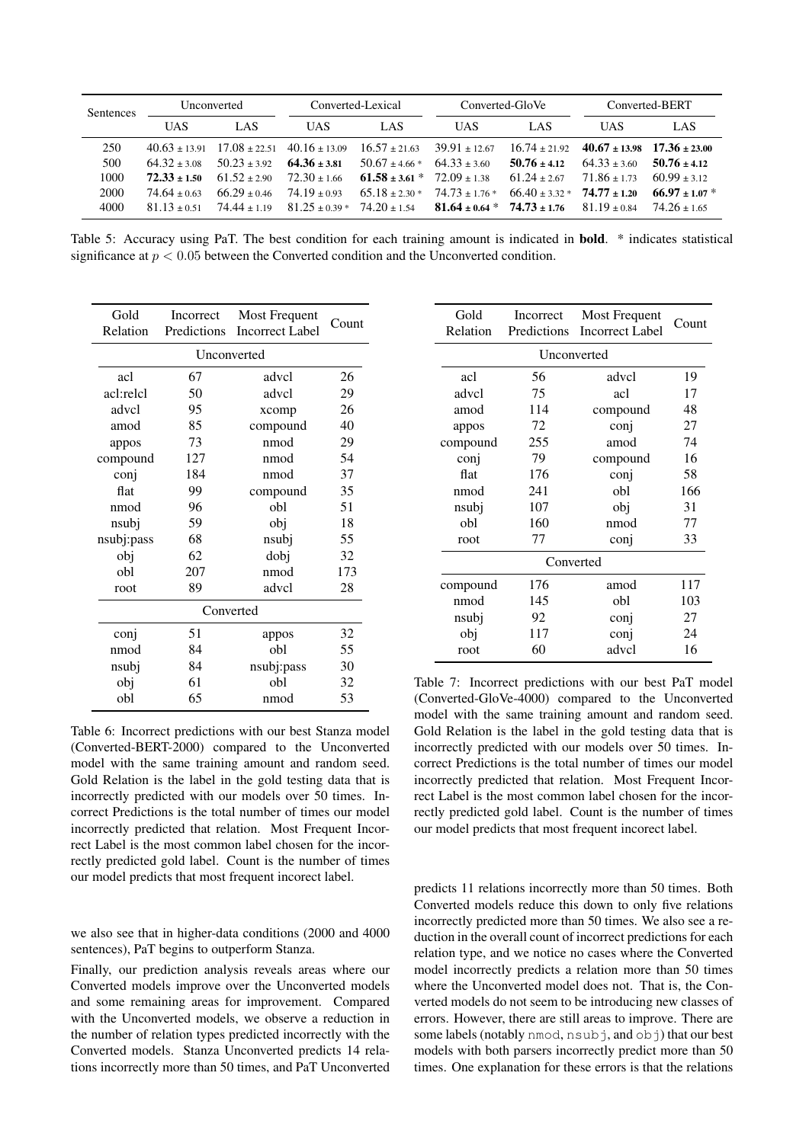| <b>Sentences</b> | Unconverted    |                  | Converted-Lexical                                     |                                     | Converted-GloVe               |                                     | Converted-BERT                                        |                  |
|------------------|----------------|------------------|-------------------------------------------------------|-------------------------------------|-------------------------------|-------------------------------------|-------------------------------------------------------|------------------|
|                  | <b>UAS</b>     | LAS              | UAS.                                                  | LAS.                                | UAS.                          | LAS.                                | <b>UAS</b>                                            | LAS              |
| 250              |                |                  | $40.63 \pm 13.91$ $17.08 \pm 22.51$ $40.16 \pm 13.09$ | $16.57 \pm 21.63$                   | $39.91 \pm 12.67$             |                                     | $16.74 \pm 21.92$ $40.67 \pm 13.98$ $17.36 \pm 23.00$ |                  |
| 500              | $64.32 + 3.08$ | $50.23 + 3.92$   | $64.36 \pm 3.81$                                      | $50.67 \pm 4.66*$ $64.33 \pm 3.60$  |                               | $50.76 + 4.12$                      | $64.33 \pm 3.60$                                      | $50.76 \pm 4.12$ |
| 1000             | $72.33 + 1.50$ | $61.52 + 2.90$   | $72.30 + 166$                                         | $61.58 \pm 3.61$ * $72.09 \pm 1.38$ |                               | $61.24 + 2.67$                      | $71.86 + 1.73$                                        | $60.99 + 312$    |
| 2000             | $74.64 + 0.63$ | $66.29 \pm 0.46$ | $74.19 + 0.93$                                        | $65.18 \pm 2.30$ *                  | $74.73 \pm 1.76$ *            | $66.40 \pm 3.32$ * $74.77 \pm 1.20$ |                                                       | $66.97 + 1.07$ * |
| 4000             | $81.13 + 0.51$ | $74.44 + 1.19$   | $81.25 \pm 0.39$ * $74.20 \pm 1.54$                   |                                     | $81.64 + 0.64 * 74.73 + 1.76$ |                                     | $81.19 \pm 0.84$                                      | $74.26 + 1.65$   |

<span id="page-5-0"></span>Table 5: Accuracy using PaT. The best condition for each training amount is indicated in **bold.** \* indicates statistical significance at  $p < 0.05$  between the Converted condition and the Unconverted condition.

| Gold<br>Relation | Incorrect<br>Predictions | <b>Most Frequent</b><br><b>Incorrect Label</b> | Count |  |  |
|------------------|--------------------------|------------------------------------------------|-------|--|--|
| Unconverted      |                          |                                                |       |  |  |
| acl              | 67                       | advcl                                          | 26    |  |  |
| acl:relcl        | 50                       | advcl                                          | 29    |  |  |
| advcl            | 95                       | xcomp                                          | 26    |  |  |
| amod             | 85                       | compound                                       | 40    |  |  |
| appos            | 73                       | nmod                                           | 29    |  |  |
| compound         | 127                      | nmod                                           | 54    |  |  |
| conj             | 184                      | nmod                                           | 37    |  |  |
| flat             | 99                       | compound                                       | 35    |  |  |
| nmod             | 96                       | obl                                            | 51    |  |  |
| nsubj            | 59                       | obj                                            | 18    |  |  |
| nsubj:pass       | 68                       | nsubj                                          | 55    |  |  |
| obj              | 62                       | dobj                                           | 32    |  |  |
| obl              | 207                      | nmod                                           | 173   |  |  |
| root             | 89                       | advcl                                          | 28    |  |  |
| Converted        |                          |                                                |       |  |  |
| conj             | 51                       | appos                                          | 32    |  |  |
| nmod             | 84                       | obl                                            | 55    |  |  |
| nsubj            | 84                       | nsubj:pass                                     | 30    |  |  |
| obj              | 61                       | obl                                            | 32    |  |  |
| obl              | 65                       | nmod                                           | 53    |  |  |

<span id="page-5-1"></span>Table 6: Incorrect predictions with our best Stanza model (Converted-BERT-2000) compared to the Unconverted model with the same training amount and random seed. Gold Relation is the label in the gold testing data that is incorrectly predicted with our models over 50 times. Incorrect Predictions is the total number of times our model incorrectly predicted that relation. Most Frequent Incorrect Label is the most common label chosen for the incorrectly predicted gold label. Count is the number of times our model predicts that most frequent incorect label.

we also see that in higher-data conditions (2000 and 4000 sentences), PaT begins to outperform Stanza.

Finally, our prediction analysis reveals areas where our Converted models improve over the Unconverted models and some remaining areas for improvement. Compared with the Unconverted models, we observe a reduction in the number of relation types predicted incorrectly with the Converted models. Stanza Unconverted predicts 14 relations incorrectly more than 50 times, and PaT Unconverted

| Gold<br>Relation | Incorrect<br>Predictions | Most Frequent<br>Incorrect Label | Count |  |  |  |
|------------------|--------------------------|----------------------------------|-------|--|--|--|
| Unconverted      |                          |                                  |       |  |  |  |
| acl              | 56                       | advcl                            | 19    |  |  |  |
| advcl            | 75                       | acl                              | 17    |  |  |  |
| amod             | 114                      | compound                         | 48    |  |  |  |
| appos            | 72                       | conj                             | 27    |  |  |  |
| compound         | 255                      | amod                             | 74    |  |  |  |
| conj             | 79                       | compound                         | 16    |  |  |  |
| flat             | 176                      | conj                             | 58    |  |  |  |
| nmod             | 241                      | obl                              | 166   |  |  |  |
| nsubj            | 107                      | obj                              | 31    |  |  |  |
| obl              | 160                      | nmod                             | 77    |  |  |  |
| root             | 77                       | conj                             |       |  |  |  |
| Converted        |                          |                                  |       |  |  |  |
| compound         | 176                      | amod                             | 117   |  |  |  |
| nmod             | 145                      | obl                              | 103   |  |  |  |
| nsubj            | 92                       | conj                             | 27    |  |  |  |
| obj              | 117                      | conj                             | 24    |  |  |  |
| root             | 60                       | advcl                            | 16    |  |  |  |

<span id="page-5-2"></span>Table 7: Incorrect predictions with our best PaT model (Converted-GloVe-4000) compared to the Unconverted model with the same training amount and random seed. Gold Relation is the label in the gold testing data that is incorrectly predicted with our models over 50 times. Incorrect Predictions is the total number of times our model incorrectly predicted that relation. Most Frequent Incorrect Label is the most common label chosen for the incorrectly predicted gold label. Count is the number of times our model predicts that most frequent incorect label.

predicts 11 relations incorrectly more than 50 times. Both Converted models reduce this down to only five relations incorrectly predicted more than 50 times. We also see a reduction in the overall count of incorrect predictions for each relation type, and we notice no cases where the Converted model incorrectly predicts a relation more than 50 times where the Unconverted model does not. That is, the Converted models do not seem to be introducing new classes of errors. However, there are still areas to improve. There are some labels (notably nmod, nsubj, and  $\circ$ bj) that our best models with both parsers incorrectly predict more than 50 times. One explanation for these errors is that the relations